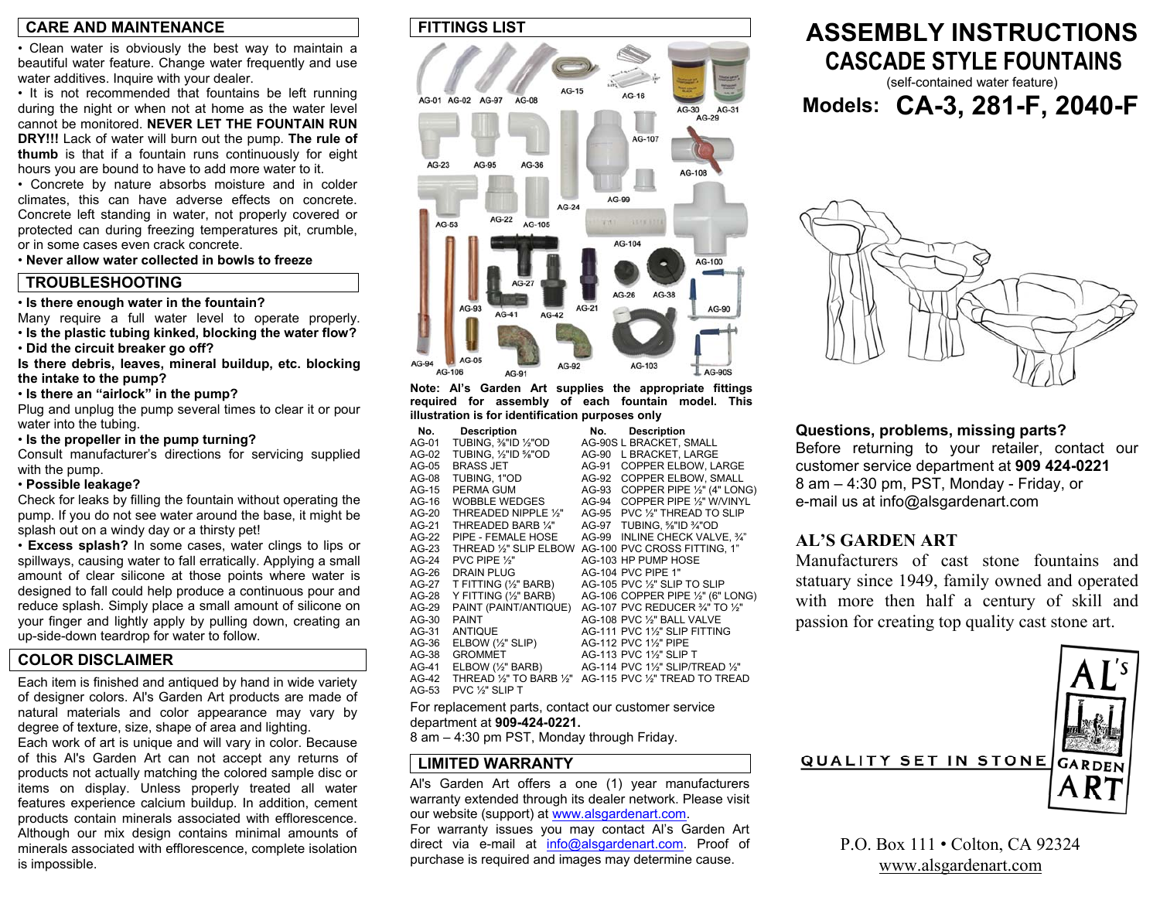### **CARE AND MAINTENANCE**

• Clean water is obviously the best way to maintain a beautiful water feature. Change water frequently and use water additives. Inquire with your dealer.

• It is not recommended that fountains be left running during the night or when not at home as the water level cannot be monitored. **NEVER LET THE FOUNTAIN RUN DRY!!!** Lack of water will burn out the pump. **The rule of thumb** is that if a fountain runs continuously for eight hours you are bound to have to add more water to it.

• Concrete by nature absorbs moisture and in colder climates, this can have adverse effects on concrete. Concrete left standing in water, not properly covered or protected can during freezing temperatures pit, crumble, or in some cases even crack concrete.

• **Never allow water collected in bowls to freeze**

### **TROUBLESHOOTING**

• **Is there enough water in the fountain?** 

Many require a full water level to operate properly. • **Is the plastic tubing kinked, blocking the water flow?** 

• **Did the circuit breaker go off?** 

**Is there debris, leaves, mineral buildup, etc. blocking the intake to the pump?** 

• **Is there an "airlock" in the pump?** 

Plug and unplug the pump several times to clear it or pour water into the tubing.

• **Is the propeller in the pump turning?** 

Consult manufacturer's directions for servicing supplied with the pump.

#### • **Possible leakage?**

Check for leaks by filling the fountain without operating the pump. If you do not see water around the base, it might be splash out on a windy day or a thirsty pet!

• **Excess splash?** In some cases, water clings to lips or spillways, causing water to fall erratically. Applying a small amount of clear silicone at those points where water is designed to fall could help produce a continuous pour and reduce splash. Simply place a small amount of silicone on your finger and lightly apply by pulling down, creating an up-side-down teardrop for water to follow.

### **COLOR DISCLAIMER**

Each item is finished and antiqued by hand in wide variety of designer colors. Al's Garden Art products are made of natural materials and color appearance may vary by degree of texture, size, shape of area and lighting.

Each work of art is unique and will vary in color. Because of this Al's Garden Art can not accept any returns of products not actually matching the colored sample disc or items on display. Unless properly treated all water features experience calcium buildup. In addition, cement products contain minerals associated with efflorescence. Although our mix design contains minimal amounts of minerals associated with efflorescence, complete isolation is impossible.

### **FITTINGS LIST**



**Note: Al's Garden Art supplies the appropriate fittings required for assembly of each fountain model. This illustration is for identification purposes only** 

| No.     | <b>Description</b>              | No.   | <b>Description</b>                        |
|---------|---------------------------------|-------|-------------------------------------------|
| AG-01   | TUBING, 1/8"ID 1/2"OD           |       | AG-90S L BRACKET, SMALL                   |
| AG-02   | TUBING, 1/2"ID %"OD             | AG-90 | L BRACKET, LARGE                          |
| $AG-05$ | <b>BRASS JET</b>                | AG-91 | <b>COPPER ELBOW. LARGE</b>                |
| $AG-08$ | TUBING, 1"OD                    | AG-92 | COPPER ELBOW, SMALL                       |
| $AG-15$ | PERMA GUM                       | AG-93 | COPPER PIPE 1/2" (4" LONG)                |
| AG-16   | <b>WOBBLE WEDGES</b>            | AG-94 | COPPER PIPE 1/2" W/VINYL                  |
| $AG-20$ | THREADED NIPPLE 1/2"            | AG-95 | PVC 1/2" THREAD TO SLIP                   |
| $AG-21$ | THREADED BARB 1/4"              |       | AG-97 TUBING, %"ID %"OD                   |
| $AG-22$ | PIPE - FEMALE HOSE              |       | AG-99 INLINE CHECK VALVE. 3/4"            |
| $AG-23$ | THREAD 1/2" SLIP ELBOW          |       | AG-100 PVC CROSS FITTING, 1"              |
| $AG-24$ | PVC PIPE $\frac{1}{2}$ "        |       | AG-103 HP PUMP HOSE                       |
| $AG-26$ | <b>DRAIN PLUG</b>               |       | <b>AG-104 PVC PIPE 1"</b>                 |
| $AG-27$ | T FITTING (1/2" BARB)           |       | AG-105 PVC 1/ <sub>2</sub> " SLIP TO SLIP |
| AG-28   | Y FITTING (1/2" BARB)           |       | AG-106 COPPER PIPE 1/2" (6" LONG)         |
| $AG-29$ | PAINT (PAINT/ANTIQUE)           |       | AG-107 PVC REDUCER 3/4" TO 1/2"           |
| AG-30   | <b>PAINT</b>                    |       | AG-108 PVC 1/2" BALL VALVE                |
| AG-31   | <b>ANTIQUE</b>                  |       | AG-111 PVC 1½" SLIP FITTING               |
| AG-36   | $E$ LBOW $(\frac{1}{2}$ " SLIP) |       | AG-112 PVC 1%" PIPE                       |
| $AG-38$ | <b>GROMMET</b>                  |       | AG-113 PVC 1½" SLIP T                     |
| AG-41   | ELBOW (1/2" BARB)               |       | AG-114 PVC 11/2" SLIP/TREAD 1/2"          |
| $AG-42$ | THREAD 1/2" TO BARB 1/2"        |       | AG-115 PVC 1/2" TREAD TO TREAD            |
| AG-53   | PVC 1/ <sub>2</sub> " SLIP T    |       |                                           |

For replacement parts, contact our customer service department at **909-424-0221.** 

8 am – 4:30 pm PST, Monday through Friday.

### **LIMITED WARRANTY**

Al's Garden Art offers a one (1) year manufacturers warranty extended through its dealer network. Please visit our website (support) at www.alsgardenart.com. For warranty issues you may contact Al's Garden Art direct via e-mail at info@alsgardenart.com. Proof of purchase is required and images may determine cause.

## **ASSEMBLY INSTRUCTIONS CASCADE STYLE FOUNTAINS**(self-contained water feature)

**Models: CA-3, 281-F, 2040-F** 



**Questions, problems, missing parts?**  Before returning to your retailer, contact our customer service department at **909 424-0221**  8 am – 4:30 pm, PST, Monday - Friday, or e-mail us at info@alsgardenart.com

### **AL'S GARDEN ART**

Manufacturers of cast stone fountains andstatuary since 1949, family owned and operate d with more then half a century of skill an d passion for creating top quality cast stone art.



P.O. Box 111 • Colton, CA 92324 www.alsgardenart.com